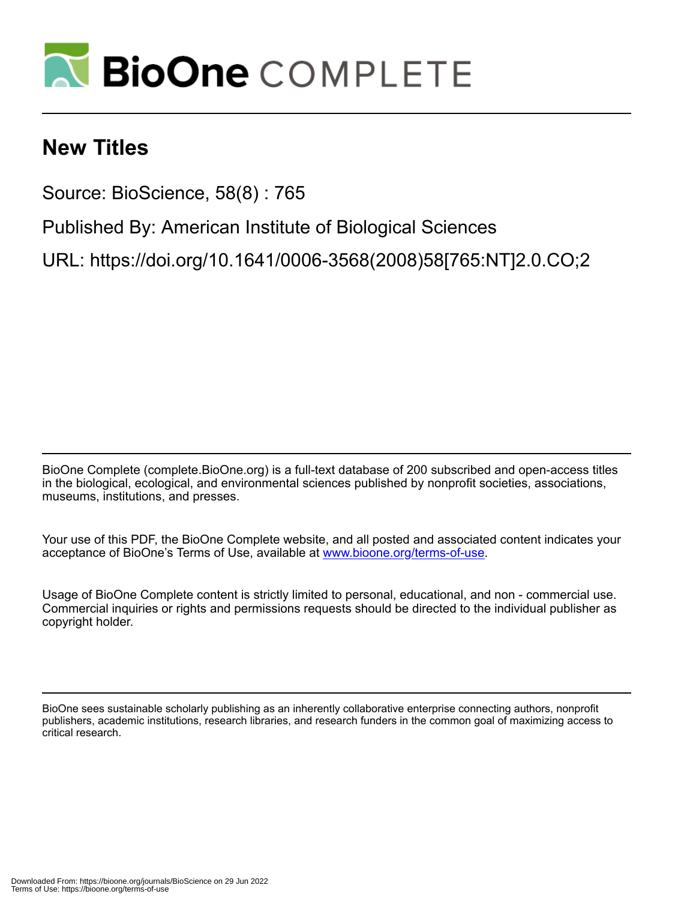

# **New Titles**

Source: BioScience, 58(8) : 765

Published By: American Institute of Biological Sciences

URL: https://doi.org/10.1641/0006-3568(2008)58[765:NT]2.0.CO;2

BioOne Complete (complete.BioOne.org) is a full-text database of 200 subscribed and open-access titles in the biological, ecological, and environmental sciences published by nonprofit societies, associations, museums, institutions, and presses.

Your use of this PDF, the BioOne Complete website, and all posted and associated content indicates your acceptance of BioOne's Terms of Use, available at www.bioone.org/terms-of-use.

Usage of BioOne Complete content is strictly limited to personal, educational, and non - commercial use. Commercial inquiries or rights and permissions requests should be directed to the individual publisher as copyright holder.

BioOne sees sustainable scholarly publishing as an inherently collaborative enterprise connecting authors, nonprofit publishers, academic institutions, research libraries, and research funders in the common goal of maximizing access to critical research.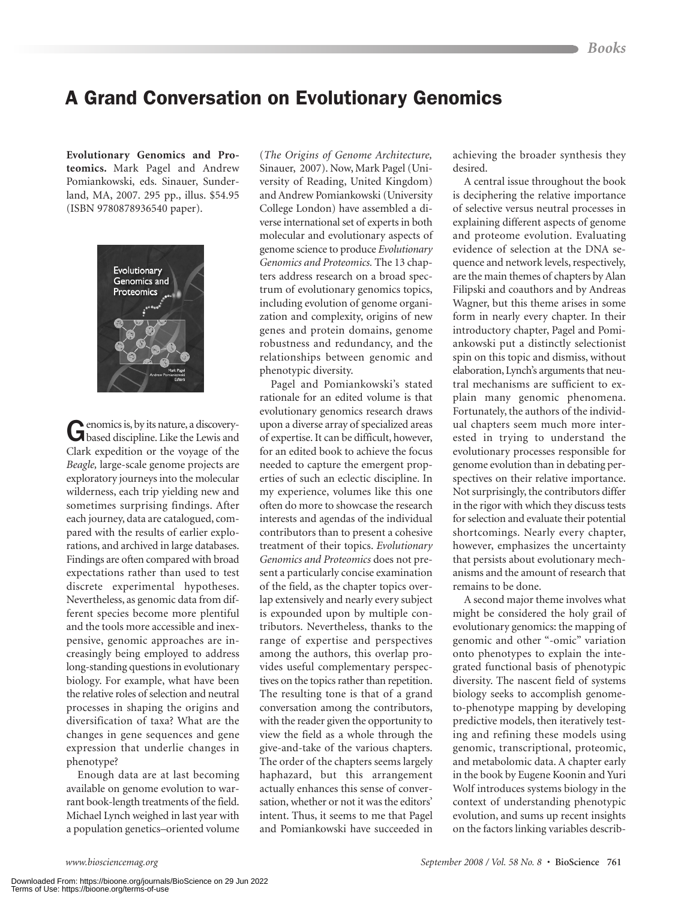# A Grand Conversation on Evolutionary Genomics

**Evolutionary Genomics and Proteomics.** Mark Pagel and Andrew Pomiankowski, eds. Sinauer, Sunderland, MA, 2007. 295 pp., illus. \$54.95 (ISBN 9780878936540 paper).



Genomics is, by its nature, a discovery-based discipline. Like the Lewis and Clark expedition or the voyage of the *Beagle,* large-scale genome projects are exploratory journeys into the molecular wilderness, each trip yielding new and sometimes surprising findings. After each journey, data are catalogued, compared with the results of earlier explorations, and archived in large databases. Findings are often compared with broad expectations rather than used to test discrete experimental hypotheses. Nevertheless, as genomic data from different species become more plentiful and the tools more accessible and inexpensive, genomic approaches are increasingly being employed to address long-standing questions in evolutionary biology. For example, what have been the relative roles of selection and neutral processes in shaping the origins and diversification of taxa? What are the changes in gene sequences and gene expression that underlie changes in phenotype?

Enough data are at last becoming available on genome evolution to warrant book-length treatments of the field. Michael Lynch weighed in last year with a population genetics–oriented volume

(*The Origins of Genome Architecture,* Sinauer, 2007). Now, Mark Pagel (University of Reading, United Kingdom) and Andrew Pomiankowski (University College London) have assembled a diverse international set of experts in both molecular and evolutionary aspects of genome science to produce *Evolutionary Genomics and Proteomics.* The 13 chapters address research on a broad spectrum of evolutionary genomics topics, including evolution of genome organization and complexity, origins of new genes and protein domains, genome robustness and redundancy, and the relationships between genomic and phenotypic diversity.

Pagel and Pomiankowski's stated rationale for an edited volume is that evolutionary genomics research draws upon a diverse array of specialized areas of expertise. It can be difficult, however, for an edited book to achieve the focus needed to capture the emergent properties of such an eclectic discipline. In my experience, volumes like this one often do more to showcase the research interests and agendas of the individual contributors than to present a cohesive treatment of their topics. *Evolutionary Genomics and Proteomics* does not present a particularly concise examination of the field, as the chapter topics overlap extensively and nearly every subject is expounded upon by multiple contributors. Nevertheless, thanks to the range of expertise and perspectives among the authors, this overlap provides useful complementary perspectives on the topics rather than repetition. The resulting tone is that of a grand conversation among the contributors, with the reader given the opportunity to view the field as a whole through the give-and-take of the various chapters. The order of the chapters seems largely haphazard, but this arrangement actually enhances this sense of conversation, whether or not it was the editors' intent. Thus, it seems to me that Pagel and Pomiankowski have succeeded in

achieving the broader synthesis they desired.

A central issue throughout the book is deciphering the relative importance of selective versus neutral processes in explaining different aspects of genome and proteome evolution. Evaluating evidence of selection at the DNA sequence and network levels, respectively, are the main themes of chapters by Alan Filipski and coauthors and by Andreas Wagner, but this theme arises in some form in nearly every chapter. In their introductory chapter, Pagel and Pomiankowski put a distinctly selectionist spin on this topic and dismiss, without elaboration, Lynch's arguments that neutral mechanisms are sufficient to explain many genomic phenomena. Fortunately, the authors of the individual chapters seem much more interested in trying to understand the evolutionary processes responsible for genome evolution than in debating perspectives on their relative importance. Not surprisingly, the contributors differ in the rigor with which they discuss tests for selection and evaluate their potential shortcomings. Nearly every chapter, however, emphasizes the uncertainty that persists about evolutionary mechanisms and the amount of research that remains to be done.

A second major theme involves what might be considered the holy grail of evolutionary genomics: the mapping of genomic and other "-omic" variation onto phenotypes to explain the integrated functional basis of phenotypic diversity. The nascent field of systems biology seeks to accomplish genometo-phenotype mapping by developing predictive models, then iteratively testing and refining these models using genomic, transcriptional, proteomic, and metabolomic data. A chapter early in the book by Eugene Koonin and Yuri Wolf introduces systems biology in the context of understanding phenotypic evolution, and sums up recent insights on the factors linking variables describ-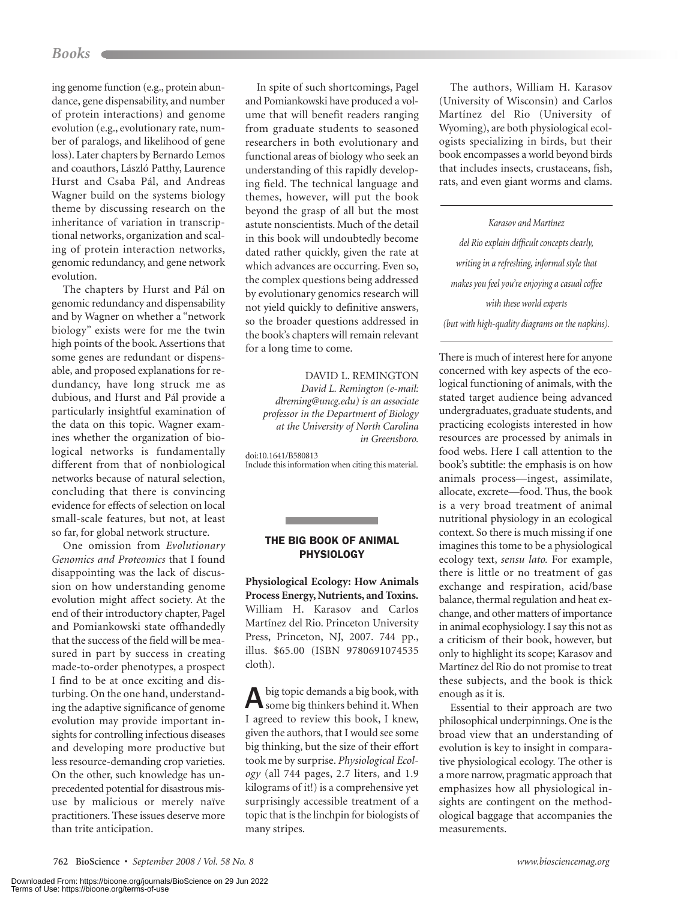# *Books*

ing genome function (e.g., protein abundance, gene dispensability, and number of protein interactions) and genome evolution (e.g., evolutionary rate, number of paralogs, and likelihood of gene loss). Later chapters by Bernardo Lemos and coauthors, László Patthy, Laurence Hurst and Csaba Pál, and Andreas Wagner build on the systems biology theme by discussing research on the inheritance of variation in transcriptional networks, organization and scaling of protein interaction networks, genomic redundancy, and gene network evolution.

The chapters by Hurst and Pál on genomic redundancy and dispensability and by Wagner on whether a "network biology" exists were for me the twin high points of the book. Assertions that some genes are redundant or dispensable, and proposed explanations for redundancy, have long struck me as dubious, and Hurst and Pál provide a particularly insightful examination of the data on this topic. Wagner examines whether the organization of biological networks is fundamentally different from that of nonbiological networks because of natural selection, concluding that there is convincing evidence for effects of selection on local small-scale features, but not, at least so far, for global network structure.

One omission from *Evolutionary Genomics and Proteomics* that I found disappointing was the lack of discussion on how understanding genome evolution might affect society. At the end of their introductory chapter, Pagel and Pomiankowski state offhandedly that the success of the field will be measured in part by success in creating made-to-order phenotypes, a prospect I find to be at once exciting and disturbing. On the one hand, understanding the adaptive significance of genome evolution may provide important insights for controlling infectious diseases and developing more productive but less resource-demanding crop varieties. On the other, such knowledge has unprecedented potential for disastrous misuse by malicious or merely naïve practitioners. These issues deserve more than trite anticipation.

In spite of such shortcomings, Pagel and Pomiankowski have produced a volume that will benefit readers ranging from graduate students to seasoned researchers in both evolutionary and functional areas of biology who seek an understanding of this rapidly developing field. The technical language and themes, however, will put the book beyond the grasp of all but the most astute nonscientists. Much of the detail in this book will undoubtedly become dated rather quickly, given the rate at which advances are occurring. Even so, the complex questions being addressed by evolutionary genomics research will not yield quickly to definitive answers, so the broader questions addressed in the book's chapters will remain relevant for a long time to come.

DAVID L. REMINGTON *David L. Remington (e-mail: dlreming@uncg.edu) is an associate professor in the Department of Biology at the University of North Carolina in Greensboro.*

doi:10.1641/B580813 Include this information when citing this material.

#### THE BIG BOOK OF ANIMAL **PHYSIOLOGY**

**Physiological Ecology: How Animals Process Energy, Nutrients, and Toxins.** William H. Karasov and Carlos Martínez del Rio. Princeton University Press, Princeton, NJ, 2007. 744 pp., illus. \$65.00 (ISBN 9780691074535 cloth).

Abig topic demands a big book, with some big thinkers behind it. When I agreed to review this book, I knew, given the authors, that I would see some big thinking, but the size of their effort took me by surprise. *Physiological Ecology* (all 744 pages, 2.7 liters, and 1.9 kilograms of it!) is a comprehensive yet surprisingly accessible treatment of a topic that is the linchpin for biologists of many stripes.

The authors, William H. Karasov (University of Wisconsin) and Carlos Martínez del Rio (University of Wyoming), are both physiological ecologists specializing in birds, but their book encompasses a world beyond birds that includes insects, crustaceans, fish, rats, and even giant worms and clams.

*Karasov and Martínez del Rio explain difficult concepts clearly, writing in a refreshing, informal style that makes you feel you're enjoying a casual coffee with these world experts (but with high-quality diagrams on the napkins).* 

There is much of interest here for anyone concerned with key aspects of the ecological functioning of animals, with the stated target audience being advanced undergraduates, graduate students, and practicing ecologists interested in how resources are processed by animals in food webs. Here I call attention to the book's subtitle: the emphasis is on how animals process—ingest, assimilate, allocate, excrete—food. Thus, the book is a very broad treatment of animal nutritional physiology in an ecological context. So there is much missing if one imagines this tome to be a physiological ecology text, *sensu lato.* For example, there is little or no treatment of gas exchange and respiration, acid/base balance, thermal regulation and heat exchange, and other matters of importance in animal ecophysiology. I say this not as a criticism of their book, however, but only to highlight its scope; Karasov and Martínez del Rio do not promise to treat these subjects, and the book is thick enough as it is.

Essential to their approach are two philosophical underpinnings. One is the broad view that an understanding of evolution is key to insight in comparative physiological ecology. The other is a more narrow, pragmatic approach that emphasizes how all physiological insights are contingent on the methodological baggage that accompanies the measurements.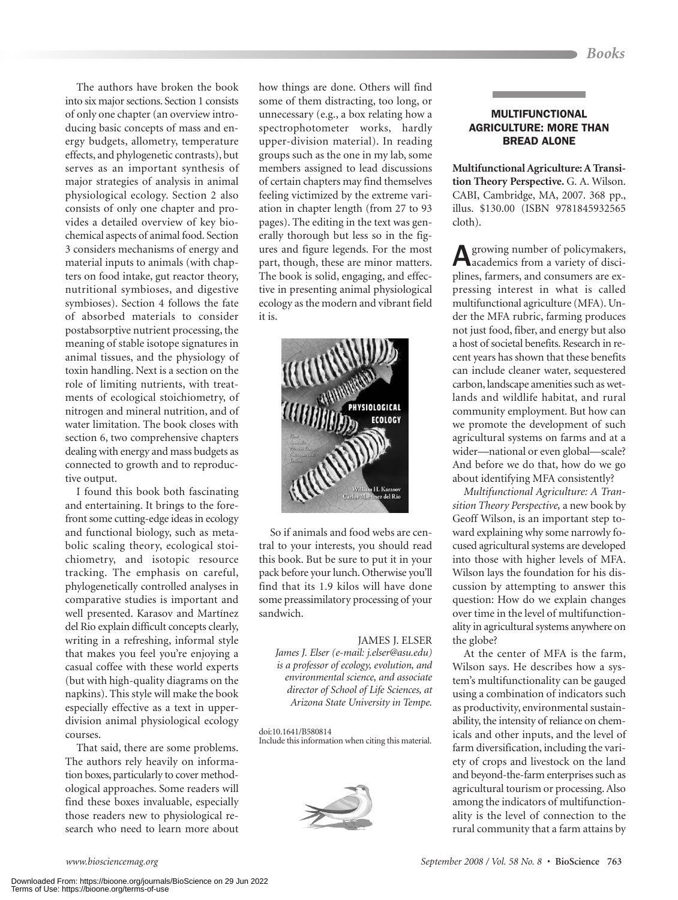The authors have broken the book into six major sections. Section 1 consists of only one chapter (an overview introducing basic concepts of mass and energy budgets, allometry, temperature effects, and phylogenetic contrasts), but serves as an important synthesis of major strategies of analysis in animal physiological ecology. Section 2 also consists of only one chapter and provides a detailed overview of key biochemical aspects of animal food. Section 3 considers mechanisms of energy and material inputs to animals (with chapters on food intake, gut reactor theory, nutritional symbioses, and digestive symbioses). Section 4 follows the fate of absorbed materials to consider postabsorptive nutrient processing, the meaning of stable isotope signatures in animal tissues, and the physiology of toxin handling. Next is a section on the role of limiting nutrients, with treatments of ecological stoichiometry, of nitrogen and mineral nutrition, and of water limitation. The book closes with section 6, two comprehensive chapters dealing with energy and mass budgets as connected to growth and to reproductive output.

I found this book both fascinating and entertaining. It brings to the forefront some cutting-edge ideas in ecology and functional biology, such as metabolic scaling theory, ecological stoichiometry, and isotopic resource tracking. The emphasis on careful, phylogenetically controlled analyses in comparative studies is important and well presented. Karasov and Martínez del Rio explain difficult concepts clearly, writing in a refreshing, informal style that makes you feel you're enjoying a casual coffee with these world experts (but with high-quality diagrams on the napkins). This style will make the book especially effective as a text in upperdivision animal physiological ecology courses.

That said, there are some problems. The authors rely heavily on information boxes, particularly to cover methodological approaches. Some readers will find these boxes invaluable, especially those readers new to physiological research who need to learn more about

how things are done. Others will find some of them distracting, too long, or unnecessary (e.g., a box relating how a spectrophotometer works, hardly upper-division material). In reading groups such as the one in my lab, some members assigned to lead discussions of certain chapters may find themselves feeling victimized by the extreme variation in chapter length (from 27 to 93 pages). The editing in the text was generally thorough but less so in the figures and figure legends. For the most part, though, these are minor matters. The book is solid, engaging, and effective in presenting animal physiological ecology as the modern and vibrant field it is.



So if animals and food webs are central to your interests, you should read this book. But be sure to put it in your pack before your lunch. Otherwise you'll find that its 1.9 kilos will have done some preassimilatory processing of your sandwich.

#### JAMES J. ELSER

*James J. Elser (e-mail: j.elser@asu.edu) is a professor of ecology, evolution, and environmental science, and associate director of School of Life Sciences, at Arizona State University in Tempe.*

doi:10.1641/B580814 Include this information when citing this material.



#### MULTIFUNCTIONAL AGRICULTURE: MORE THAN BREAD ALONE

**Multifunctional Agriculture: A Transition Theory Perspective.** G. A. Wilson. CABI, Cambridge, MA, 2007. 368 pp., illus. \$130.00 (ISBN 9781845932565 cloth).

Agrowing number of policymakers, academics from a variety of disciplines, farmers, and consumers are expressing interest in what is called multifunctional agriculture (MFA). Under the MFA rubric, farming produces not just food, fiber, and energy but also a host of societal benefits. Research in recent years has shown that these benefits can include cleaner water, sequestered carbon, landscape amenities such as wetlands and wildlife habitat, and rural community employment. But how can we promote the development of such agricultural systems on farms and at a wider—national or even global—scale? And before we do that, how do we go about identifying MFA consistently?

*Multifunctional Agriculture: A Transition Theory Perspective,* a new book by Geoff Wilson, is an important step toward explaining why some narrowly focused agricultural systems are developed into those with higher levels of MFA. Wilson lays the foundation for his discussion by attempting to answer this question: How do we explain changes over time in the level of multifunctionality in agricultural systems anywhere on the globe?

At the center of MFA is the farm, Wilson says. He describes how a system's multifunctionality can be gauged using a combination of indicators such as productivity, environmental sustainability, the intensity of reliance on chemicals and other inputs, and the level of farm diversification, including the variety of crops and livestock on the land and beyond-the-farm enterprises such as agricultural tourism or processing. Also among the indicators of multifunctionality is the level of connection to the rural community that a farm attains by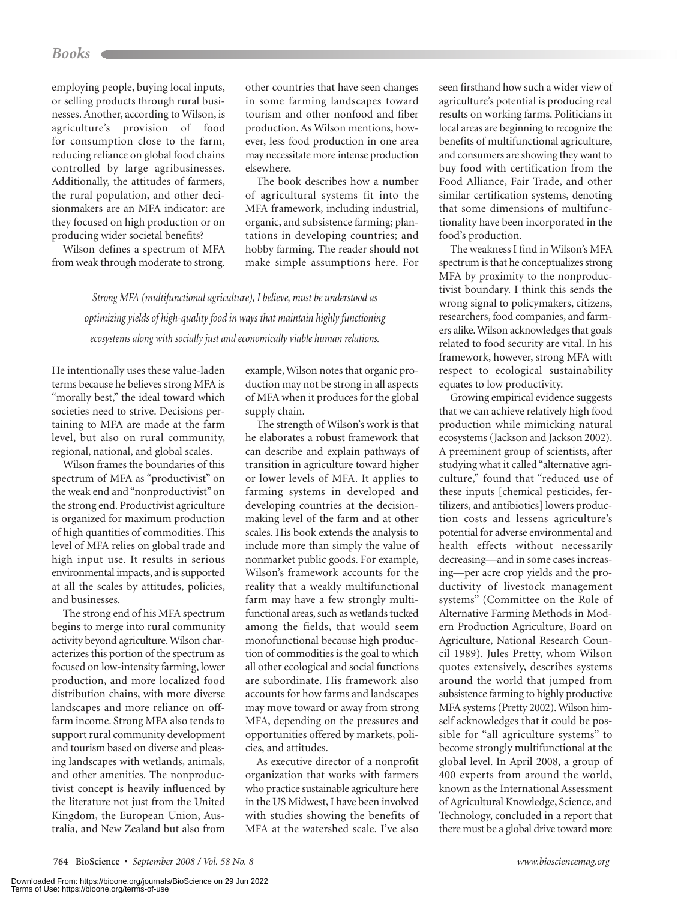# *Books*

employing people, buying local inputs, or selling products through rural businesses. Another, according to Wilson, is agriculture's provision of food for consumption close to the farm, reducing reliance on global food chains controlled by large agribusinesses. Additionally, the attitudes of farmers, the rural population, and other decisionmakers are an MFA indicator: are they focused on high production or on producing wider societal benefits?

Wilson defines a spectrum of MFA from weak through moderate to strong.

other countries that have seen changes in some farming landscapes toward tourism and other nonfood and fiber production. As Wilson mentions, however, less food production in one area may necessitate more intense production elsewhere.

The book describes how a number of agricultural systems fit into the MFA framework, including industrial, organic, and subsistence farming; plantations in developing countries; and hobby farming. The reader should not make simple assumptions here. For

*Strong MFA (multifunctional agriculture), I believe, must be understood as optimizing yields of high-quality food in ways that maintain highly functioning ecosystems along with socially just and economically viable human relations.*

He intentionally uses these value-laden terms because he believes strong MFA is "morally best," the ideal toward which societies need to strive. Decisions pertaining to MFA are made at the farm level, but also on rural community, regional, national, and global scales.

Wilson frames the boundaries of this spectrum of MFA as "productivist" on the weak end and "nonproductivist" on the strong end. Productivist agriculture is organized for maximum production of high quantities of commodities. This level of MFA relies on global trade and high input use. It results in serious environmental impacts, and is supported at all the scales by attitudes, policies, and businesses.

The strong end of his MFA spectrum begins to merge into rural community activity beyond agriculture. Wilson characterizes this portion of the spectrum as focused on low-intensity farming, lower production, and more localized food distribution chains, with more diverse landscapes and more reliance on offfarm income. Strong MFA also tends to support rural community development and tourism based on diverse and pleasing landscapes with wetlands, animals, and other amenities. The nonproductivist concept is heavily influenced by the literature not just from the United Kingdom, the European Union, Australia, and New Zealand but also from

example, Wilson notes that organic production may not be strong in all aspects of MFA when it produces for the global supply chain.

The strength of Wilson's work is that he elaborates a robust framework that can describe and explain pathways of transition in agriculture toward higher or lower levels of MFA. It applies to farming systems in developed and developing countries at the decisionmaking level of the farm and at other scales. His book extends the analysis to include more than simply the value of nonmarket public goods. For example, Wilson's framework accounts for the reality that a weakly multifunctional farm may have a few strongly multifunctional areas, such as wetlands tucked among the fields, that would seem monofunctional because high production of commodities is the goal to which all other ecological and social functions are subordinate. His framework also accounts for how farms and landscapes may move toward or away from strong MFA, depending on the pressures and opportunities offered by markets, policies, and attitudes.

As executive director of a nonprofit organization that works with farmers who practice sustainable agriculture here in the US Midwest, I have been involved with studies showing the benefits of MFA at the watershed scale. I've also

seen firsthand how such a wider view of agriculture's potential is producing real results on working farms. Politicians in local areas are beginning to recognize the benefits of multifunctional agriculture, and consumers are showing they want to buy food with certification from the Food Alliance, Fair Trade, and other similar certification systems, denoting that some dimensions of multifunctionality have been incorporated in the food's production.

The weakness I find in Wilson's MFA spectrum is that he conceptualizes strong MFA by proximity to the nonproductivist boundary. I think this sends the wrong signal to policymakers, citizens, researchers, food companies, and farmers alike. Wilson acknowledges that goals related to food security are vital. In his framework, however, strong MFA with respect to ecological sustainability equates to low productivity.

Growing empirical evidence suggests that we can achieve relatively high food production while mimicking natural ecosystems (Jackson and Jackson 2002). A preeminent group of scientists, after studying what it called "alternative agriculture," found that "reduced use of these inputs [chemical pesticides, fertilizers, and antibiotics] lowers production costs and lessens agriculture's potential for adverse environmental and health effects without necessarily decreasing—and in some cases increasing—per acre crop yields and the productivity of livestock management systems" (Committee on the Role of Alternative Farming Methods in Modern Production Agriculture, Board on Agriculture, National Research Council 1989). Jules Pretty, whom Wilson quotes extensively, describes systems around the world that jumped from subsistence farming to highly productive MFA systems (Pretty 2002). Wilson himself acknowledges that it could be possible for "all agriculture systems" to become strongly multifunctional at the global level. In April 2008, a group of 400 experts from around the world, known as the International Assessment of Agricultural Knowledge, Science, and Technology, concluded in a report that there must be a global drive toward more